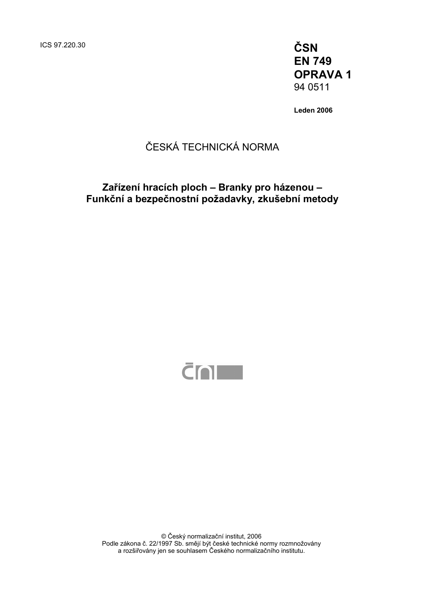ICS 97.220.30 **ČSN** 

**EN 749 OPRAVA 1**  94 0511

**Leden 2006** 

## ČESKÁ TECHNICKÁ NORMA

### **Zařízení hracích ploch – Branky pro házenou – Funkční a bezpečnostní požadavky, zkušební metody**



© Český normalizační institut, 2006 Podle zákona č. 22/1997 Sb. smějí být české technické normy rozmnožovány a rozšiřovány jen se souhlasem Českého normalizačního institutu.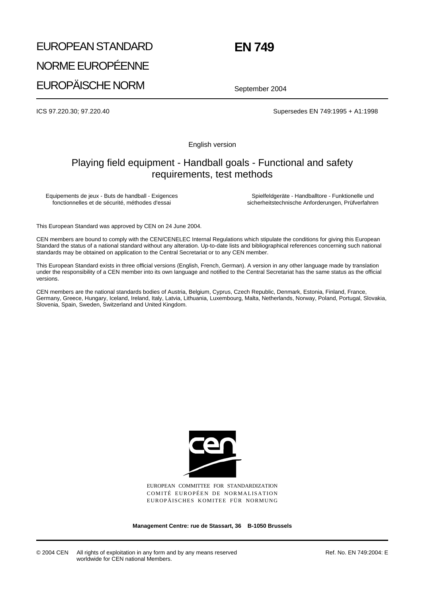# EUROPEAN STANDARD NORME EUROPÉENNE EUROPÄISCHE NORM

## **EN 749**

September 2004

ICS 97.220.30; 97.220.40 Supersedes EN 749:1995 + A1:1998

English version

### Playing field equipment - Handball goals - Functional and safety requirements, test methods

Equipements de jeux - Buts de handball - Exigences fonctionnelles et de sécurité, méthodes d'essai

Spielfeldgeräte - Handballtore - Funktionelle und sicherheitstechnische Anforderungen, Prüfverfahren

This European Standard was approved by CEN on 24 June 2004.

CEN members are bound to comply with the CEN/CENELEC Internal Regulations which stipulate the conditions for giving this European Standard the status of a national standard without any alteration. Up-to-date lists and bibliographical references concerning such national standards may be obtained on application to the Central Secretariat or to any CEN member.

This European Standard exists in three official versions (English, French, German). A version in any other language made by translation under the responsibility of a CEN member into its own language and notified to the Central Secretariat has the same status as the official versions.

CEN members are the national standards bodies of Austria, Belgium, Cyprus, Czech Republic, Denmark, Estonia, Finland, France, Germany, Greece, Hungary, Iceland, Ireland, Italy, Latvia, Lithuania, Luxembourg, Malta, Netherlands, Norway, Poland, Portugal, Slovakia, Slovenia, Spain, Sweden, Switzerland and United Kingdom.



EUROPEAN COMMITTEE FOR STANDARDIZATION COMITÉ EUROPÉEN DE NORMALISATION EUROPÄISCHES KOMITEE FÜR NORMUNG

**Management Centre: rue de Stassart, 36 B-1050 Brussels**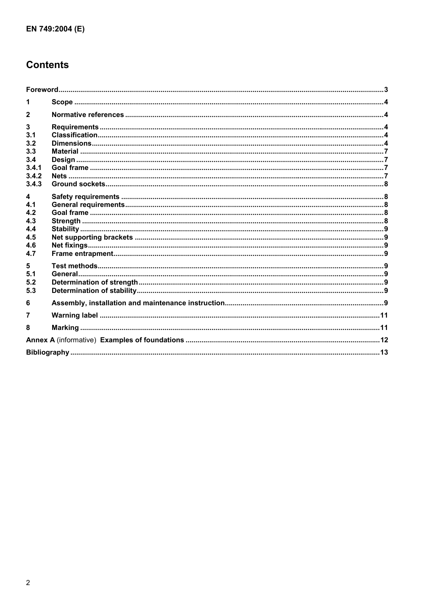## **Contents**

| 1                |  |
|------------------|--|
|                  |  |
| $\mathbf{3}$     |  |
| 3.1              |  |
| 3.2              |  |
| 3.3              |  |
| 3.4              |  |
| 3.4.1            |  |
| 3.4.2            |  |
| 3.4.3            |  |
| $\blacktriangle$ |  |
| 4.1              |  |
| 4.2              |  |
| 4.3              |  |
| 4.4              |  |
| 4.5              |  |
| 4.6              |  |
| 4.7              |  |
| 5                |  |
| 5.1              |  |
| 5.2              |  |
| 5.3              |  |
| 6                |  |
|                  |  |
| 8                |  |
|                  |  |
|                  |  |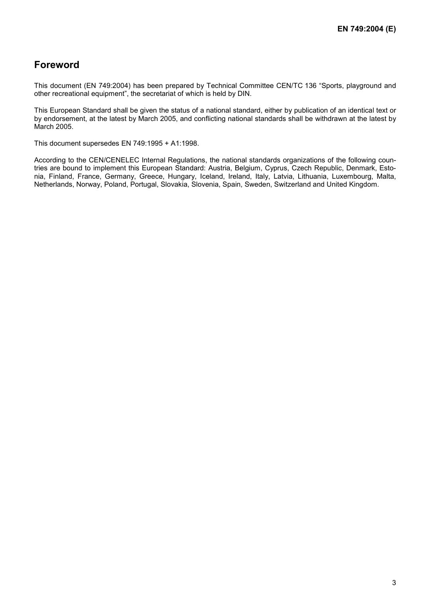### **Foreword**

This document (EN 749:2004) has been prepared by Technical Committee CEN/TC 136 "Sports, playground and other recreational equipment", the secretariat of which is held by DIN.

This European Standard shall be given the status of a national standard, either by publication of an identical text or by endorsement, at the latest by March 2005, and conflicting national standards shall be withdrawn at the latest by March 2005.

This document supersedes EN 749:1995 + A1:1998.

According to the CEN/CENELEC Internal Regulations, the national standards organizations of the following countries are bound to implement this European Standard: Austria, Belgium, Cyprus, Czech Republic, Denmark, Estonia, Finland, France, Germany, Greece, Hungary, Iceland, Ireland, Italy, Latvia, Lithuania, Luxembourg, Malta, Netherlands, Norway, Poland, Portugal, Slovakia, Slovenia, Spain, Sweden, Switzerland and United Kingdom.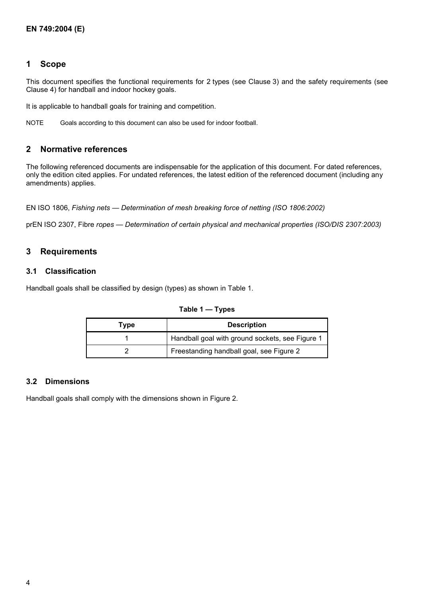#### **1 Scope**

This document specifies the functional requirements for 2 types (see Clause 3) and the safety requirements (see Clause 4) for handball and indoor hockey goals.

It is applicable to handball goals for training and competition.

NOTE Goals according to this document can also be used for indoor football.

#### **2 Normative references**

The following referenced documents are indispensable for the application of this document. For dated references, only the edition cited applies. For undated references, the latest edition of the referenced document (including any amendments) applies.

EN ISO 1806, *Fishing nets — Determination of mesh breaking force of netting (ISO 1806:2002)*

prEN ISO 2307, Fibre *ropes — Determination of certain physical and mechanical properties (ISO/DIS 2307:2003)*

#### **3 Requirements**

#### **3.1 Classification**

Handball goals shall be classified by design (types) as shown in Table 1.

| Type | <b>Description</b>                              |
|------|-------------------------------------------------|
|      | Handball goal with ground sockets, see Figure 1 |
|      | Freestanding handball goal, see Figure 2        |

**Table 1 — Types** 

#### **3.2 Dimensions**

Handball goals shall comply with the dimensions shown in Figure 2.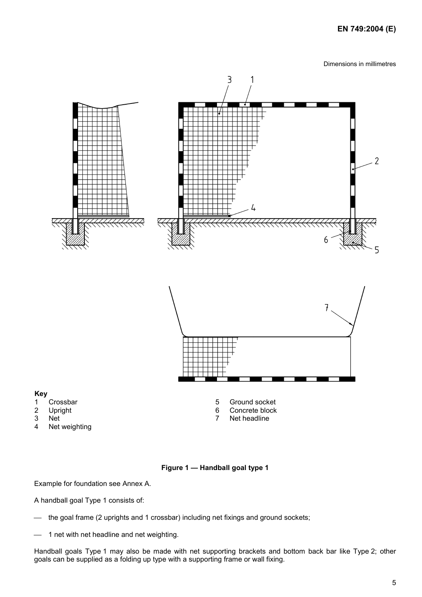#### **EN 749:2004 (E)**

Dimensions in millimetres





5 Ground socket 6 Concrete block<br>7 Net headline Net headline

#### **Key**

- 1 Crossbar
- 2 Upright<br>3 Net
- 3 Net<br>4 Net
- Net weighting

#### **Figure 1 — Handball goal type 1**

Example for foundation see Annex A.

A handball goal Type 1 consists of:

the goal frame (2 uprights and 1 crossbar) including net fixings and ground sockets;

1 net with net headline and net weighting.

Handball goals Type 1 may also be made with net supporting brackets and bottom back bar like Type 2; other goals can be supplied as a folding up type with a supporting frame or wall fixing.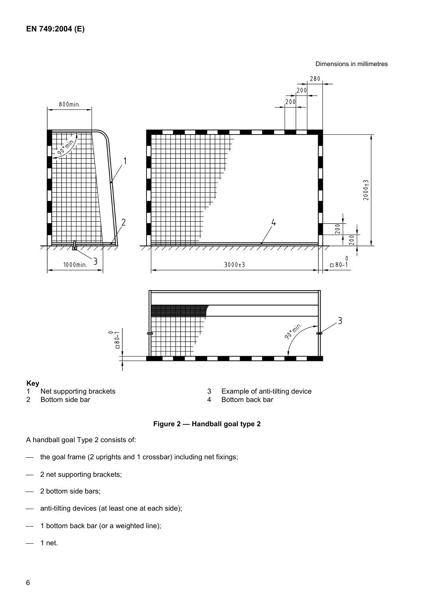Dimensions in millimetres



**Figure 2 — Handball goal type 2** 

A handball goal Type 2 consists of:

- the goal frame (2 uprights and 1 crossbar) including net fixings;
- 2 net supporting brackets;
- 2 bottom side bars;
- anti-tilting devices (at least one at each side);
- 1 bottom back bar (or a weighted line);
- 1 net.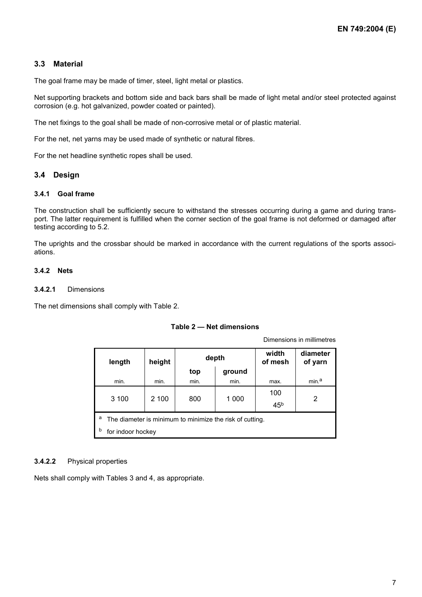#### **3.3 Material**

The goal frame may be made of timer, steel, light metal or plastics.

Net supporting brackets and bottom side and back bars shall be made of light metal and/or steel protected against corrosion (e.g. hot galvanized, powder coated or painted).

The net fixings to the goal shall be made of non-corrosive metal or of plastic material.

For the net, net yarns may be used made of synthetic or natural fibres.

For the net headline synthetic ropes shall be used.

#### **3.4 Design**

#### **3.4.1 Goal frame**

The construction shall be sufficiently secure to withstand the stresses occurring during a game and during transport. The latter requirement is fulfilled when the corner section of the goal frame is not deformed or damaged after testing according to 5.2.

The uprights and the crossbar should be marked in accordance with the current regulations of the sports associations.

#### **3.4.2 Nets**

#### **3.4.2.1** Dimensions

The net dimensions shall comply with Table 2.

#### **Table 2 — Net dimensions**

Dimensions in millimetres

| length                                                        | height            | depth |        | width<br>of mesh | diameter<br>of yarn |  |
|---------------------------------------------------------------|-------------------|-------|--------|------------------|---------------------|--|
|                                                               |                   | top   | ground |                  |                     |  |
| min.                                                          | min.              | min.  | min.   | max.             | min. <sup>a</sup>   |  |
|                                                               |                   |       |        | 100              |                     |  |
| 3 100                                                         | 2 100             | 800   | 1 000  | 45 <sup>b</sup>  | 2                   |  |
| а<br>The diameter is minimum to minimize the risk of cutting. |                   |       |        |                  |                     |  |
| b                                                             | for indoor hockey |       |        |                  |                     |  |

#### **3.4.2.2** Physical properties

Nets shall comply with Tables 3 and 4, as appropriate.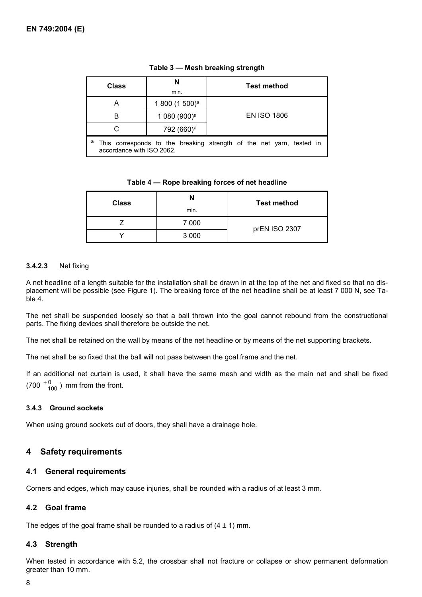| <b>Class</b>                                                                                      | N<br>min.                  | <b>Test method</b> |  |  |
|---------------------------------------------------------------------------------------------------|----------------------------|--------------------|--|--|
| А                                                                                                 | 1 800 (1 500) <sup>a</sup> |                    |  |  |
| в                                                                                                 | 1 080 (900) <sup>a</sup>   | <b>EN ISO 1806</b> |  |  |
|                                                                                                   | 792 (660) <sup>a</sup>     |                    |  |  |
| This corresponds to the breaking strength of the net yarn, tested in<br>accordance with ISO 2062. |                            |                    |  |  |

#### **Table 3 — Mesh breaking strength**

#### **Table 4 — Rope breaking forces of net headline**

| <b>Class</b> | N<br>min. | <b>Test method</b> |  |
|--------------|-----------|--------------------|--|
|              | 7 000     | prEN ISO 2307      |  |
|              | 3 0 0 0   |                    |  |

#### **3.4.2.3** Net fixing

A net headline of a length suitable for the installation shall be drawn in at the top of the net and fixed so that no displacement will be possible (see Figure 1). The breaking force of the net headline shall be at least 7 000 N, see Table 4.

The net shall be suspended loosely so that a ball thrown into the goal cannot rebound from the constructional parts. The fixing devices shall therefore be outside the net.

The net shall be retained on the wall by means of the net headline or by means of the net supporting brackets.

The net shall be so fixed that the ball will not pass between the goal frame and the net.

If an additional net curtain is used, it shall have the same mesh and width as the main net and shall be fixed  $(700<sup>+0</sup><sub>100</sub>)$  mm from the front.

#### **3.4.3 Ground sockets**

When using ground sockets out of doors, they shall have a drainage hole.

#### **4 Safety requirements**

#### **4.1 General requirements**

Corners and edges, which may cause injuries, shall be rounded with a radius of at least 3 mm.

#### **4.2 Goal frame**

The edges of the goal frame shall be rounded to a radius of  $(4 \pm 1)$  mm.

#### **4.3 Strength**

When tested in accordance with 5.2, the crossbar shall not fracture or collapse or show permanent deformation greater than 10 mm.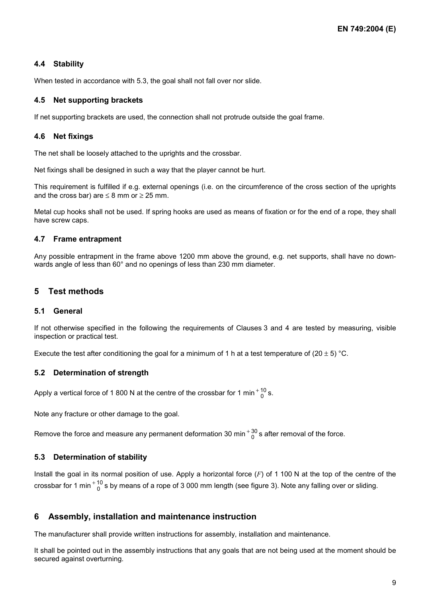#### **4.4 Stability**

When tested in accordance with 5.3, the goal shall not fall over nor slide.

#### **4.5 Net supporting brackets**

If net supporting brackets are used, the connection shall not protrude outside the goal frame.

#### **4.6 Net fixings**

The net shall be loosely attached to the uprights and the crossbar.

Net fixings shall be designed in such a way that the player cannot be hurt.

This requirement is fulfilled if e.g. external openings (i.e. on the circumference of the cross section of the uprights and the cross bar) are  $\leq 8$  mm or  $\geq 25$  mm.

Metal cup hooks shall not be used. If spring hooks are used as means of fixation or for the end of a rope, they shall have screw caps.

#### **4.7 Frame entrapment**

Any possible entrapment in the frame above 1200 mm above the ground, e.g. net supports, shall have no downwards angle of less than 60° and no openings of less than 230 mm diameter.

#### **5 Test methods**

#### **5.1 General**

If not otherwise specified in the following the requirements of Clauses 3 and 4 are tested by measuring, visible inspection or practical test.

Execute the test after conditioning the goal for a minimum of 1 h at a test temperature of (20  $\pm$  5) °C.

#### **5.2 Determination of strength**

Apply a vertical force of 1 800 N at the centre of the crossbar for 1 min  $^{+10}_{0}$  s.

Note any fracture or other damage to the goal.

Remove the force and measure any permanent deformation 30 min  $^{+30}_{0}$  s after removal of the force.

#### **5.3 Determination of stability**

Install the goal in its normal position of use. Apply a horizontal force (*F*) of 1 100 N at the top of the centre of the crossbar for 1 min  $^+{}^{10}_{0}$  s by means of a rope of 3 000 mm length (see figure 3). Note any falling over or sliding.

#### **6 Assembly, installation and maintenance instruction**

The manufacturer shall provide written instructions for assembly, installation and maintenance.

It shall be pointed out in the assembly instructions that any goals that are not being used at the moment should be secured against overturning.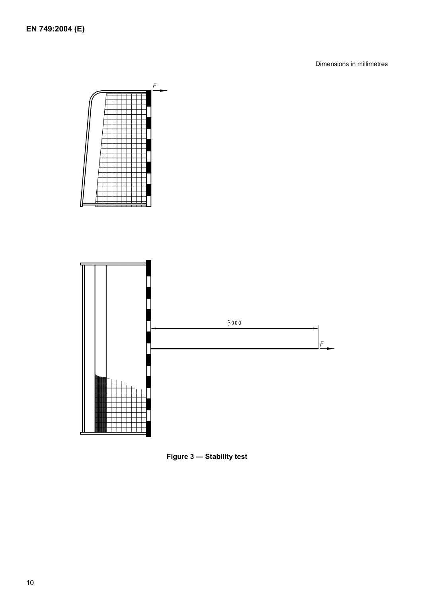Dimensions in millimetres



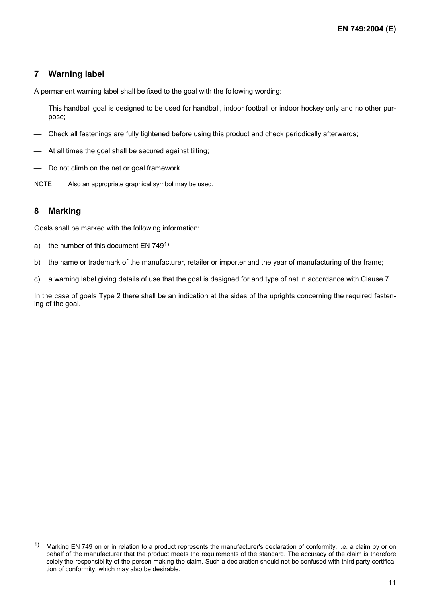### **7 Warning label**

A permanent warning label shall be fixed to the goal with the following wording:

- This handball goal is designed to be used for handball, indoor football or indoor hockey only and no other purpose;
- Check all fastenings are fully tightened before using this product and check periodically afterwards;
- At all times the goal shall be secured against tilting;
- Do not climb on the net or goal framework.
- NOTE Also an appropriate graphical symbol may be used.

#### **8 Marking**

l

Goals shall be marked with the following information:

- a) the number of this document EN  $749<sup>1</sup>$ ;
- b) the name or trademark of the manufacturer, retailer or importer and the year of manufacturing of the frame;
- c) a warning label giving details of use that the goal is designed for and type of net in accordance with Clause 7.

In the case of goals Type 2 there shall be an indication at the sides of the uprights concerning the required fastening of the goal.

<sup>1)</sup> Marking EN 749 on or in relation to a product represents the manufacturer's declaration of conformity, i.e. a claim by or on behalf of the manufacturer that the product meets the requirements of the standard. The accuracy of the claim is therefore solely the responsibility of the person making the claim. Such a declaration should not be confused with third party certification of conformity, which may also be desirable.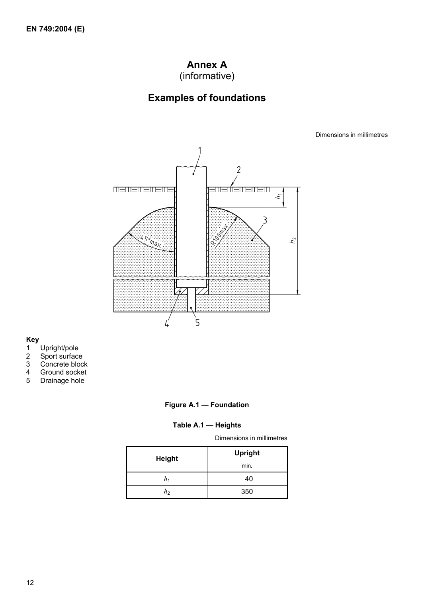### **Annex A** (informative)

## **Examples of foundations**

Dimensions in millimetres



## **Key**

- 1 Upright/pole
- 2 Sport surface
- 3 Concrete block
- 4 Ground socket
- 5 Drainage hole

#### **Figure A.1 — Foundation**

#### **Table A.1 — Heights**

Dimensions in millimetres

| <b>Height</b> | <b>Upright</b> |  |
|---------------|----------------|--|
|               | min.           |  |
| n٠            | 40             |  |
| hэ            | 350            |  |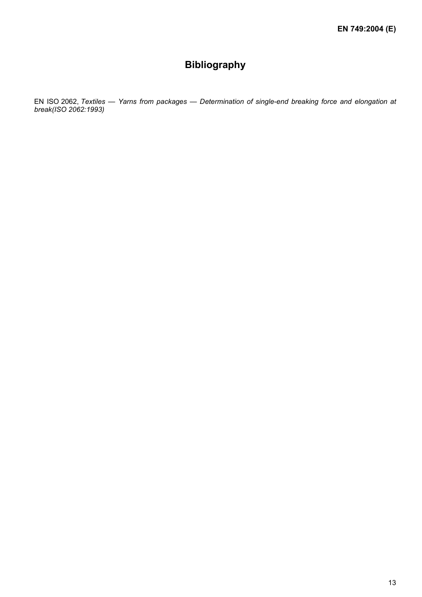## **Bibliography**

EN ISO 2062, *Textiles — Yarns from packages — Determination of single-end breaking force and elongation at break(ISO 2062:1993)*